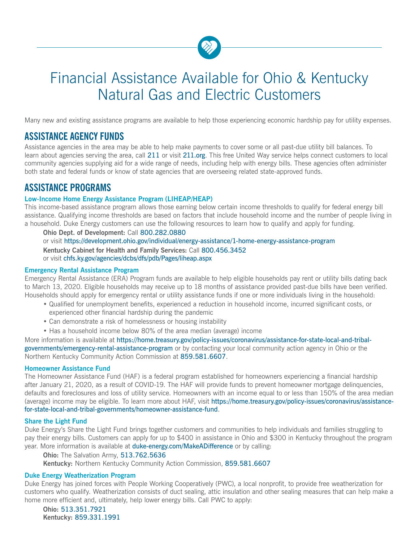

# Financial Assistance Available for Ohio & Kentucky Natural Gas and Electric Customers

Many new and existing assistance programs are available to help those experiencing economic hardship pay for utility expenses.

## **ASSISTANCE AGENCY FUNDS**

Assistance agencies in the area may be able to help make payments to cover some or all past-due utility bill balances. To learn about agencies serving the area, call 211 or visit [211.org](http://211.org). This free United Way service helps connect customers to local community agencies supplying aid for a wide range of needs, including help with energy bills. These agencies often administer both state and federal funds or know of state agencies that are overseeing related state-approved funds.

## **ASSISTANCE PROGRAMS**

### **Low-Income Home Energy Assistance Program (LIHEAP/HEAP)**

This income-based assistance program allows those earning below certain income thresholds to qualify for federal energy bill assistance. Qualifying income thresholds are based on factors that include household income and the number of people living in a household. Duke Energy customers can use the following resources to learn how to qualify and apply for funding.

### **Ohio Dept. of Development:** Call 800.282.0880

or visit <https://development.ohio.gov/individual/energy-assistance/1-home-energy-assistance-program>  **Kentucky Cabinet for Health and Family Services:** Call 800.456.3452 or visit [chfs.ky.gov/agencies/dcbs/dfs/pdb/Pages/liheap.aspx](http://chfs.ky.gov/agencies/dcbs/dfs/pdb/Pages/liheap.aspx)

#### **Emergency Rental Assistance Program**

Emergency Rental Assistance (ERA) Program funds are available to help eligible households pay rent or utility bills dating back to March 13, 2020. Eligible households may receive up to 18 months of assistance provided past-due bills have been verified. Households should apply for emergency rental or utility assistance funds if one or more individuals living in the household:

- Qualified for unemployment benefits, experienced a reduction in household income, incurred significant costs, or experienced other financial hardship during the pandemic
- Can demonstrate a risk of homelessness or housing instability
- Has a household income below 80% of the area median (average) income

More information is available at [https://home.treasury.gov/policy-issues/coronavirus/assistance-for-state-local-and-tribal](https://home.treasury.gov/policy-issues/coronavirus/assistance-for-state-local-and-tribal-governments/emergency-rental-assistance-program)[governments/emergency-rental-assistance-program](https://home.treasury.gov/policy-issues/coronavirus/assistance-for-state-local-and-tribal-governments/emergency-rental-assistance-program) or by contacting your local community action agency in Ohio or the Northern Kentucky Community Action Commission at 859.581.6607.

#### **Homeowner Assistance Fund**

The Homeowner Assistance Fund (HAF) is a federal program established for homeowners experiencing a financial hardship after January 21, 2020, as a result of COVID-19. The HAF will provide funds to prevent homeowner mortgage delinquencies, defaults and foreclosures and loss of utility service. Homeowners with an income equal to or less than 150% of the area median (average) income may be eligible. To learn more about HAF, visit [https://home.treasury.gov/policy-issues/coronavirus/assistance](https://home.treasury.gov/policy-issues/coronavirus/assistance-for-state-local-and-tribal-governments/homeowner-assistance-fund)[for-state-local-and-tribal-governments/homeowner-assistance-fund](https://home.treasury.gov/policy-issues/coronavirus/assistance-for-state-local-and-tribal-governments/homeowner-assistance-fund).

#### **Share the Light Fund**

Duke Energy's Share the Light Fund brings together customers and communities to help individuals and families struggling to pay their energy bills. Customers can apply for up to \$400 in assistance in Ohio and \$300 in Kentucky throughout the program year. More information is available at [duke-energy.com/MakeADifference](http://duke-energy.com/MakeADifference) or by calling:

**Ohio:** The Salvation Army, 513.762.5636

**Kentucky:** Northern Kentucky Community Action Commission, 859.581.6607

#### **Duke Energy Weatherization Program**

Duke Energy has joined forces with People Working Cooperatively (PWC), a local nonprofit, to provide free weatherization for customers who qualify. Weatherization consists of duct sealing, attic insulation and other sealing measures that can help make a home more efficient and, ultimately, help lower energy bills. Call PWC to apply:

**Ohio:** 513.351.7921 **Kentucky:** 859.331.1991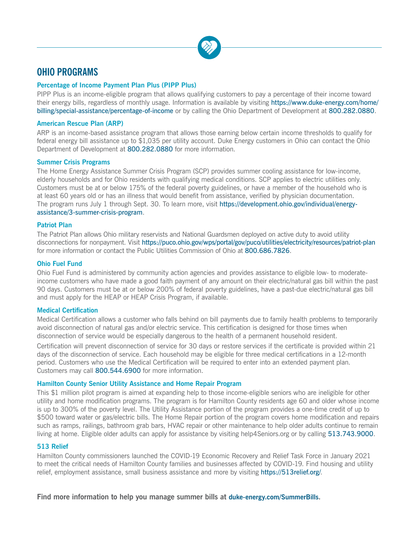## **OHIO PROGRAMS**

### **Percentage of Income Payment Plan Plus (PIPP Plus)**

PIPP Plus is an income-eligible program that allows qualifying customers to pay a percentage of their income toward their energy bills, regardless of monthly usage. Information is available by visiting [https://www.duke-energy.com/home/](https://www.duke-energy.com/home/billing/special-assistance/percentage-of-income) [billing/special-assistance/percentage-of-income](https://www.duke-energy.com/home/billing/special-assistance/percentage-of-income) or by calling the Ohio Department of Development at 800.282.0880.

#### **American Rescue Plan (ARP)**

ARP is an income-based assistance program that allows those earning below certain income thresholds to qualify for federal energy bill assistance up to \$1,035 per utility account. Duke Energy customers in Ohio can contact the Ohio Department of Development at 800.282.0880 for more information.

#### **Summer Crisis Programs**

The Home Energy Assistance Summer Crisis Program (SCP) provides summer cooling assistance for low-income, elderly households and for Ohio residents with qualifying medical conditions. SCP applies to electric utilities only. Customers must be at or below 175% of the federal poverty guidelines, or have a member of the household who is at least 60 years old or has an illness that would benefit from assistance, verified by physician documentation. The program runs July 1 through Sept. 30. To learn more, visit [https://development.ohio.gov/individual/energy](https://development.ohio.gov/individual/energy-assistance/3-summer-crisis-program)[assistance/3-summer-crisis-program](https://development.ohio.gov/individual/energy-assistance/3-summer-crisis-program).

#### **Patriot Plan**

The Patriot Plan allows Ohio military reservists and National Guardsmen deployed on active duty to avoid utility disconnections for nonpayment. Visit <https://puco.ohio.gov/wps/portal/gov/puco/utilities/electricity/resources/patriot-plan> for more information or contact the Public Utilities Commission of Ohio at 800.686.7826.

#### **Ohio Fuel Fund**

Ohio Fuel Fund is administered by community action agencies and provides assistance to eligible low- to moderateincome customers who have made a good faith payment of any amount on their electric/natural gas bill within the past 90 days. Customers must be at or below 200% of federal poverty guidelines, have a past-due electric/natural gas bill and must apply for the HEAP or HEAP Crisis Program, if available.

#### **Medical Certification**

Medical Certification allows a customer who falls behind on bill payments due to family health problems to temporarily avoid disconnection of natural gas and/or electric service. This certification is designed for those times when disconnection of service would be especially dangerous to the health of a permanent household resident.

Certification will prevent disconnection of service for 30 days or restore services if the certificate is provided within 21 days of the disconnection of service. Each household may be eligible for three medical certifications in a 12-month period. Customers who use the Medical Certification will be required to enter into an extended payment plan. Customers may call 800.544.6900 for more information.

#### **Hamilton County Senior Utility Assistance and Home Repair Program**

This \$1 million pilot program is aimed at expanding help to those income-eligible seniors who are ineligible for other utility and home modification programs. The program is for Hamilton County residents age 60 and older whose income is up to 300% of the poverty level. The Utility Assistance portion of the program provides a one-time credit of up to \$500 toward water or gas/electric bills. The Home Repair portion of the program covers home modification and repairs such as ramps, railings, bathroom grab bars, HVAC repair or other maintenance to help older adults continue to remain living at home. Eligible older adults can apply for assistance by visiting help4Seniors.org or by calling 513.743.9000.

#### **513 Relief**

Hamilton County commissioners launched the COVID-19 Economic Recovery and Relief Task Force in January 2021 to meet the critical needs of Hamilton County families and businesses affected by COVID-19. Find housing and utility relief, employment assistance, small business assistance and more by visiting <https://513relief.org>/.

**Find more information to help you manage summer bills at [duke-energy.com/SummerBills.](https://www.duke-energy.com/home/billing/seasonal-bills)**